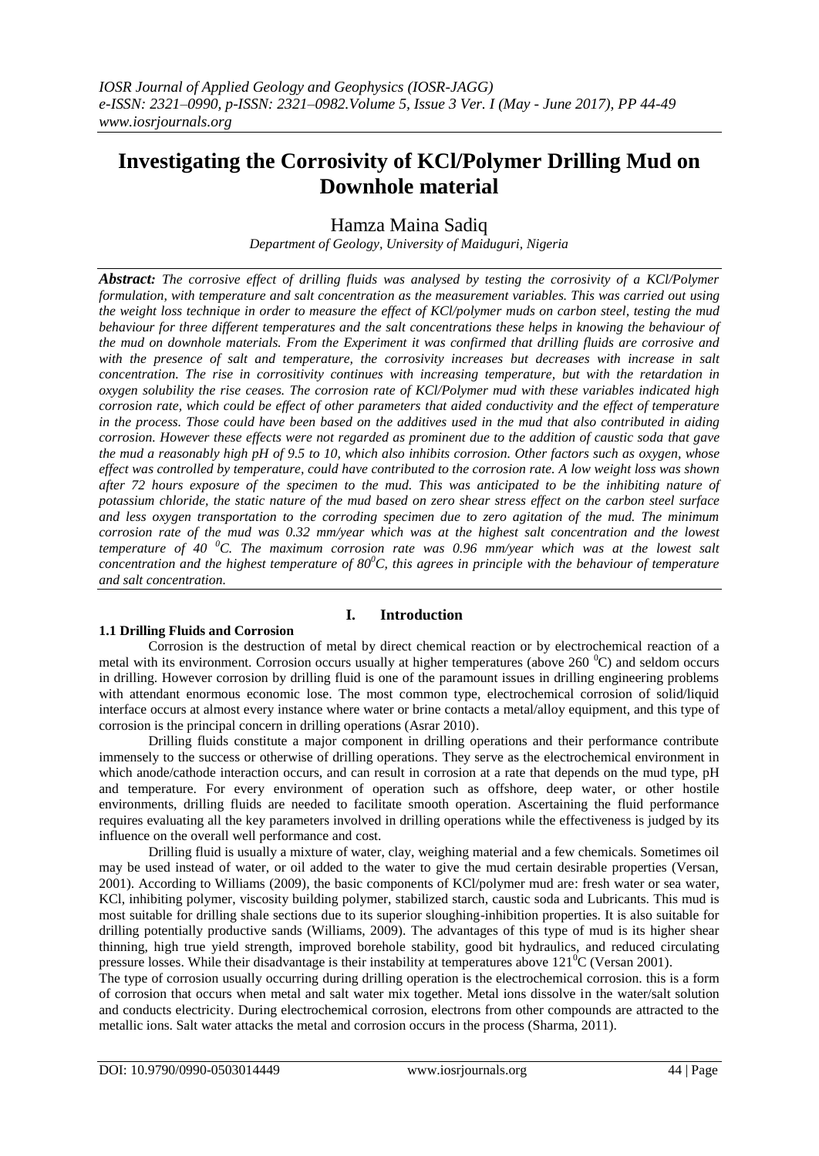# **Investigating the Corrosivity of KCl/Polymer Drilling Mud on Downhole material**

# Hamza Maina Sadiq

*Department of Geology, University of Maiduguri, Nigeria*

*Abstract: The corrosive effect of drilling fluids was analysed by testing the corrosivity of a KCl/Polymer formulation, with temperature and salt concentration as the measurement variables. This was carried out using the weight loss technique in order to measure the effect of KCl/polymer muds on carbon steel, testing the mud behaviour for three different temperatures and the salt concentrations these helps in knowing the behaviour of the mud on downhole materials. From the Experiment it was confirmed that drilling fluids are corrosive and with the presence of salt and temperature, the corrosivity increases but decreases with increase in salt concentration. The rise in corrositivity continues with increasing temperature, but with the retardation in oxygen solubility the rise ceases. The corrosion rate of KCl/Polymer mud with these variables indicated high corrosion rate, which could be effect of other parameters that aided conductivity and the effect of temperature in the process. Those could have been based on the additives used in the mud that also contributed in aiding corrosion. However these effects were not regarded as prominent due to the addition of caustic soda that gave the mud a reasonably high pH of 9.5 to 10, which also inhibits corrosion. Other factors such as oxygen, whose effect was controlled by temperature, could have contributed to the corrosion rate. A low weight loss was shown after 72 hours exposure of the specimen to the mud. This was anticipated to be the inhibiting nature of potassium chloride, the static nature of the mud based on zero shear stress effect on the carbon steel surface and less oxygen transportation to the corroding specimen due to zero agitation of the mud. The minimum corrosion rate of the mud was 0.32 mm/year which was at the highest salt concentration and the lowest temperature of 40 <sup>0</sup>C. The maximum corrosion rate was 0.96 mm/year which was at the lowest salt concentration and the highest temperature of 80<sup>0</sup>C, this agrees in principle with the behaviour of temperature and salt concentration.* 

# **1.1 Drilling Fluids and Corrosion**

# **I. Introduction**

Corrosion is the destruction of metal by direct chemical reaction or by electrochemical reaction of a metal with its environment. Corrosion occurs usually at higher temperatures (above  $260\degree C$ ) and seldom occurs in drilling. However corrosion by drilling fluid is one of the paramount issues in drilling engineering problems with attendant enormous economic lose. The most common type, electrochemical corrosion of solid/liquid interface occurs at almost every instance where water or brine contacts a metal/alloy equipment, and this type of corrosion is the principal concern in drilling operations (Asrar 2010).

Drilling fluids constitute a major component in drilling operations and their performance contribute immensely to the success or otherwise of drilling operations. They serve as the electrochemical environment in which anode/cathode interaction occurs, and can result in corrosion at a rate that depends on the mud type, pH and temperature. For every environment of operation such as offshore, deep water, or other hostile environments, drilling fluids are needed to facilitate smooth operation. Ascertaining the fluid performance requires evaluating all the key parameters involved in drilling operations while the effectiveness is judged by its influence on the overall well performance and cost.

Drilling fluid is usually a mixture of water, clay, weighing material and a few chemicals. Sometimes oil may be used instead of water, or oil added to the water to give the mud certain desirable properties (Versan, 2001). According to Williams (2009), the basic components of KCl/polymer mud are: fresh water or sea water, KCl, inhibiting polymer, viscosity building polymer, stabilized starch, caustic soda and Lubricants. This mud is most suitable for drilling shale sections due to its superior sloughing-inhibition properties. It is also suitable for drilling potentially productive sands (Williams, 2009). The advantages of this type of mud is its higher shear thinning, high true yield strength, improved borehole stability, good bit hydraulics, and reduced circulating pressure losses. While their disadvantage is their instability at temperatures above  $121\textsuperscript{o}C$  (Versan 2001).

The type of corrosion usually occurring during drilling operation is the electrochemical corrosion. this is a form of corrosion that occurs when metal and salt water mix together. Metal ions dissolve in the water/salt solution and conducts electricity. During electrochemical corrosion, electrons from other compounds are attracted to the metallic ions. Salt water attacks the metal and corrosion occurs in the process (Sharma, 2011).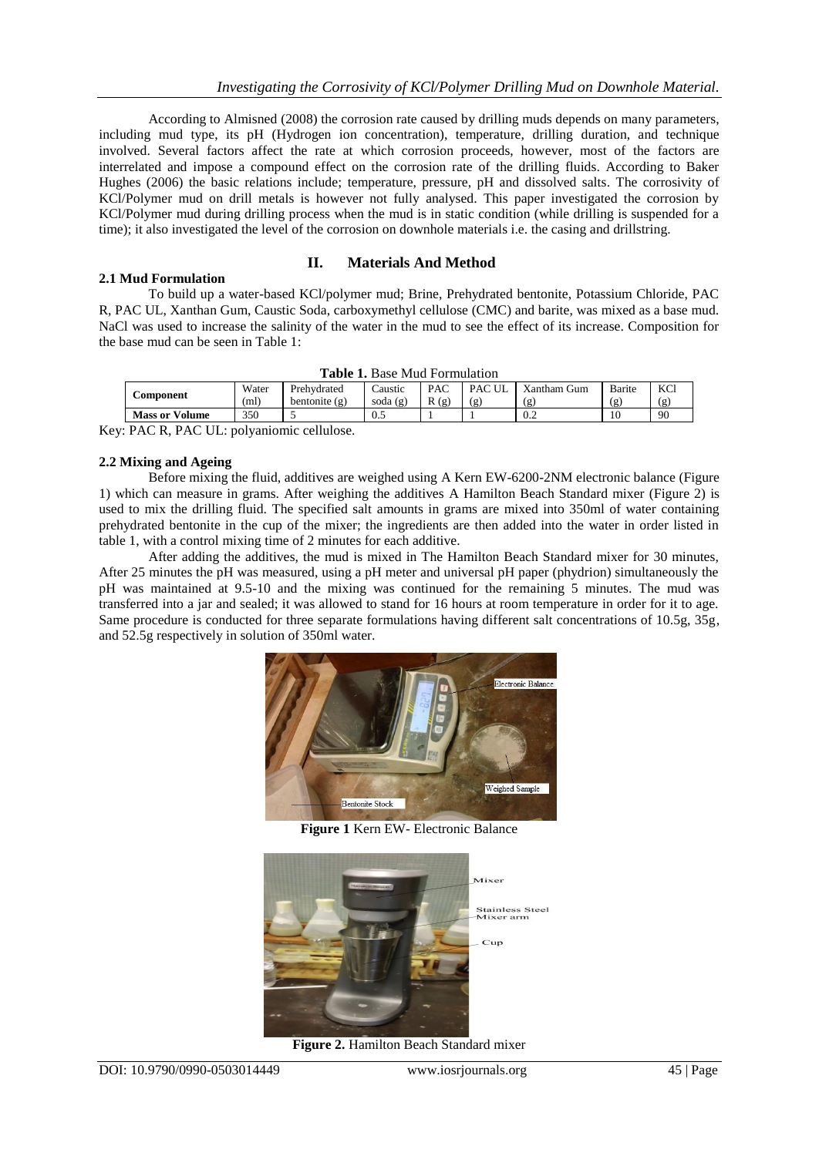According to Almisned (2008) the corrosion rate caused by drilling muds depends on many parameters, including mud type, its pH (Hydrogen ion concentration), temperature, drilling duration, and technique involved. Several factors affect the rate at which corrosion proceeds, however, most of the factors are interrelated and impose a compound effect on the corrosion rate of the drilling fluids. According to Baker Hughes (2006) the basic relations include; temperature, pressure, pH and dissolved salts. The corrosivity of KCl/Polymer mud on drill metals is however not fully analysed. This paper investigated the corrosion by KCl/Polymer mud during drilling process when the mud is in static condition (while drilling is suspended for a time); it also investigated the level of the corrosion on downhole materials i.e. the casing and drillstring.

## **II. Materials And Method**

To build up a water-based KCl/polymer mud; Brine, Prehydrated bentonite, Potassium Chloride, PAC R, PAC UL, Xanthan Gum, Caustic Soda, carboxymethyl cellulose (CMC) and barite, was mixed as a base mud. NaCl was used to increase the salinity of the water in the mud to see the effect of its increase. Composition for the base mud can be seen in Table 1:

| <b>Table 1.</b> Base Mud Porthuidhoff                                     |       |               |          |      |               |              |        |            |
|---------------------------------------------------------------------------|-------|---------------|----------|------|---------------|--------------|--------|------------|
| <b>Component</b>                                                          | Water | Prehydrated   | Laustic  | PAC  | <b>PAC UL</b> | Xantham Gum  | Barite | <b>KCl</b> |
|                                                                           | (ml)  | bentonite (g) | soda (g) | R(g) | (g)           | $\mathbf{g}$ | (g     | (g         |
| <b>Mass or Volume</b>                                                     | 350   |               | U.S      |      |               | 0.2          | 10     | 90         |
| $\mathbb{R}$ . $\alpha$ $\mathbb{R}$ . $\alpha$ $\mathbb{R}$ $\mathbb{R}$ |       | $\cdots$      |          |      |               |              |        |            |

|  | <b>Table 1.</b> Base Mud Formulation |  |
|--|--------------------------------------|--|
|--|--------------------------------------|--|

Key: PAC R, PAC UL: polyaniomic cellulose.

#### **2.2 Mixing and Ageing**

**2.1 Mud Formulation** 

Before mixing the fluid, additives are weighed using A Kern EW-6200-2NM electronic balance (Figure 1) which can measure in grams. After weighing the additives A Hamilton Beach Standard mixer (Figure 2) is used to mix the drilling fluid. The specified salt amounts in grams are mixed into 350ml of water containing prehydrated bentonite in the cup of the mixer; the ingredients are then added into the water in order listed in table 1, with a control mixing time of 2 minutes for each additive.

After adding the additives, the mud is mixed in The Hamilton Beach Standard mixer for 30 minutes, After 25 minutes the pH was measured, using a pH meter and universal pH paper (phydrion) simultaneously the pH was maintained at 9.5-10 and the mixing was continued for the remaining 5 minutes. The mud was transferred into a jar and sealed; it was allowed to stand for 16 hours at room temperature in order for it to age. Same procedure is conducted for three separate formulations having different salt concentrations of 10.5g, 35g, and 52.5g respectively in solution of 350ml water.



**Figure 1** Kern EW- Electronic Balance



**Figure 2. Hamilton Beach Standard mixer**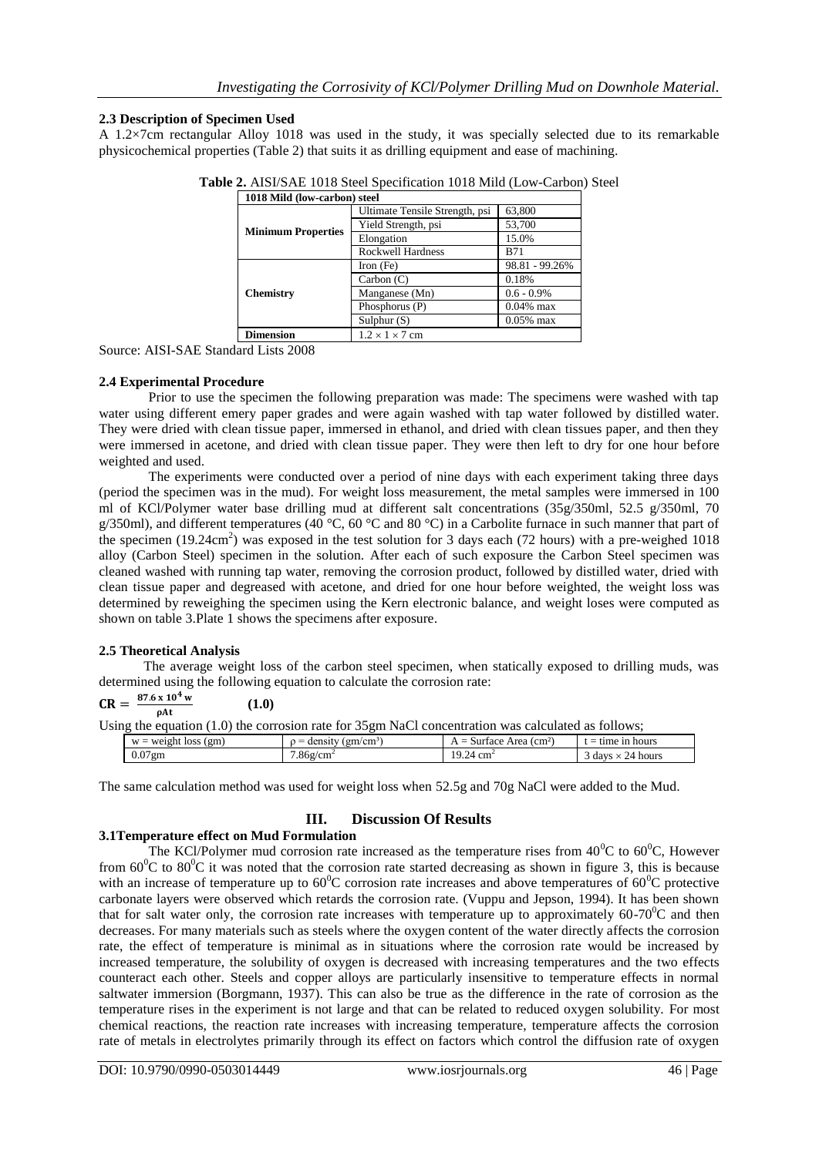## **2.3 Description of Specimen Used**

A 1.2×7cm rectangular Alloy 1018 was used in the study, it was specially selected due to its remarkable physicochemical properties (Table 2) that suits it as drilling equipment and ease of machining.

| TUTO MINU (TOW-CALDON) Steel |                                |                |  |
|------------------------------|--------------------------------|----------------|--|
|                              | Ultimate Tensile Strength, psi | 63,800         |  |
| <b>Minimum Properties</b>    | Yield Strength, psi            | 53,700         |  |
|                              | Elongation                     | 15.0%          |  |
|                              | <b>Rockwell Hardness</b>       | <b>B71</b>     |  |
|                              | Iron (Fe)                      | 98.81 - 99.26% |  |
|                              | Carbon $(C)$                   | 0.18%          |  |
| <b>Chemistry</b>             | Manganese (Mn)                 | $0.6 - 0.9\%$  |  |
|                              | Phosphorus (P)                 | $0.04\%$ max   |  |
|                              | Sulphur $(S)$                  | $0.05\%$ max   |  |
| <b>Dimension</b>             | $1.2 \times 1 \times 7$ cm     |                |  |

|  | Table 2. AISI/SAE 1018 Steel Specification 1018 Mild (Low-Carbon) Steel |  |
|--|-------------------------------------------------------------------------|--|
|  |                                                                         |  |

Source: AISI-SAE Standard Lists 2008

#### **2.4 Experimental Procedure**

Prior to use the specimen the following preparation was made: The specimens were washed with tap water using different emery paper grades and were again washed with tap water followed by distilled water. They were dried with clean tissue paper, immersed in ethanol, and dried with clean tissues paper, and then they were immersed in acetone, and dried with clean tissue paper. They were then left to dry for one hour before weighted and used.

The experiments were conducted over a period of nine days with each experiment taking three days (period the specimen was in the mud). For weight loss measurement, the metal samples were immersed in 100 ml of KCl/Polymer water base drilling mud at different salt concentrations (35g/350ml, 52.5 g/350ml, 70 g/350ml), and different temperatures (40 °C, 60 °C and 80 °C) in a Carbolite furnace in such manner that part of the specimen  $(19.24 \text{cm}^2)$  was exposed in the test solution for 3 days each (72 hours) with a pre-weighed 1018 alloy (Carbon Steel) specimen in the solution. After each of such exposure the Carbon Steel specimen was cleaned washed with running tap water, removing the corrosion product, followed by distilled water, dried with clean tissue paper and degreased with acetone, and dried for one hour before weighted, the weight loss was determined by reweighing the specimen using the Kern electronic balance, and weight loses were computed as shown on table 3.Plate 1 shows the specimens after exposure.

#### **2.5 Theoretical Analysis**

 The average weight loss of the carbon steel specimen, when statically exposed to drilling muds, was determined using the following equation to calculate the corrosion rate:

$$
CR = \frac{87.6 \times 10^{4} \text{ w}}{\rho \text{At}}
$$
(1.0)  
Using the equation (1.0) the corrosion rate for 35gm NaCl concentration was calculated as follows;  

$$
\frac{w = \text{weight loss (gm)}}{0.07 \text{ gm}}
$$
(1.0)  
7.86g/cm<sup>2</sup>  
19.24 cm<sup>2</sup>  
19.24 cm<sup>2</sup>  
19.24 cm<sup>2</sup>  
19.24 cm<sup>2</sup>  
19.25 cm<sup>2</sup>  
19.26 cm<sup>2</sup>  
19.24 cm<sup>2</sup>  
19.24 cm<sup>2</sup>  
19.24 cm<sup>2</sup>

The same calculation method was used for weight loss when 52.5g and 70g NaCl were added to the Mud.

# **III. Discussion Of Results**

#### **3.1Temperature effect on Mud Formulation**

The KCl/Polymer mud corrosion rate increased as the temperature rises from  $40^{\circ}$ C to  $60^{\circ}$ C, However from  $60^{\circ}$ C to  $80^{\circ}$ C it was noted that the corrosion rate started decreasing as shown in figure 3, this is because with an increase of temperature up to  $60^{\circ}$ C corrosion rate increases and above temperatures of  $60^{\circ}$ C protective carbonate layers were observed which retards the corrosion rate. (Vuppu and Jepson, 1994). It has been shown that for salt water only, the corrosion rate increases with temperature up to approximately  $60-70^{\circ}$ C and then decreases. For many materials such as steels where the oxygen content of the water directly affects the corrosion rate, the effect of temperature is minimal as in situations where the corrosion rate would be increased by increased temperature, the solubility of oxygen is decreased with increasing temperatures and the two effects counteract each other. Steels and copper alloys are particularly insensitive to temperature effects in normal saltwater immersion (Borgmann, 1937). This can also be true as the difference in the rate of corrosion as the temperature rises in the experiment is not large and that can be related to reduced oxygen solubility. For most chemical reactions, the reaction rate increases with increasing temperature, temperature affects the corrosion rate of metals in electrolytes primarily through its effect on factors which control the diffusion rate of oxygen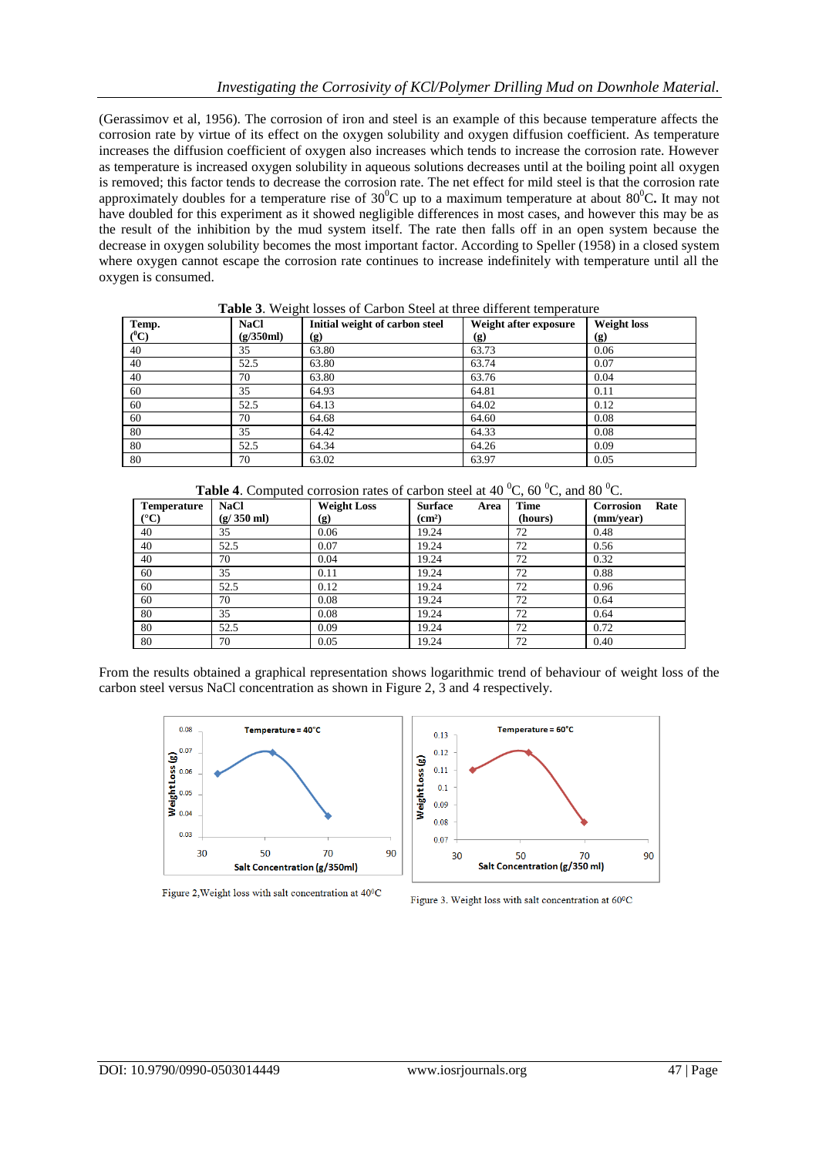(Gerassimov et al, 1956). The corrosion of iron and steel is an example of this because temperature affects the corrosion rate by virtue of its effect on the oxygen solubility and oxygen diffusion coefficient. As temperature increases the diffusion coefficient of oxygen also increases which tends to increase the corrosion rate. However as temperature is increased oxygen solubility in aqueous solutions decreases until at the boiling point all oxygen is removed; this factor tends to decrease the corrosion rate. The net effect for mild steel is that the corrosion rate approximately doubles for a temperature rise of  $30^{\circ}$ C up to a maximum temperature at about  $80^{\circ}$ C. It may not have doubled for this experiment as it showed negligible differences in most cases, and however this may be as the result of the inhibition by the mud system itself. The rate then falls off in an open system because the decrease in oxygen solubility becomes the most important factor. According to Speller (1958) in a closed system where oxygen cannot escape the corrosion rate continues to increase indefinitely with temperature until all the oxygen is consumed.

|         | <b>Tuble</b> 8: Weight 103363 of Curbon Bleef at three different temperature |                                |                       |                    |  |
|---------|------------------------------------------------------------------------------|--------------------------------|-----------------------|--------------------|--|
| Temp.   | <b>NaCl</b>                                                                  | Initial weight of carbon steel | Weight after exposure | <b>Weight loss</b> |  |
| $(^0C)$ | (g/350ml)                                                                    | (g)                            | (g)                   | (g)                |  |
| 40      | 35                                                                           | 63.80                          | 63.73                 | 0.06               |  |
| 40      | 52.5                                                                         | 63.80                          | 63.74                 | 0.07               |  |
| 40      | 70                                                                           | 63.80                          | 63.76                 | 0.04               |  |
| 60      | 35                                                                           | 64.93                          | 64.81                 | 0.11               |  |
| 60      | 52.5                                                                         | 64.13                          | 64.02                 | 0.12               |  |
| 60      | 70                                                                           | 64.68                          | 64.60                 | 0.08               |  |
| 80      | 35                                                                           | 64.42                          | 64.33                 | 0.08               |  |
| 80      | 52.5                                                                         | 64.34                          | 64.26                 | 0.09               |  |
| 80      | 70                                                                           | 63.02                          | 63.97                 | 0.05               |  |

**Table 3**. Weight losses of Carbon Steel at three different temperature

| <b>Table 4.</b> Computed corrosion rates of carbon steel at 40 $^0C$ , 60 $^0C$ , and 80 $^0C$ . |  |  |  |  |
|--------------------------------------------------------------------------------------------------|--|--|--|--|
|--------------------------------------------------------------------------------------------------|--|--|--|--|

| <b>Temperature</b><br>$({}^{\circ}C)$ | <b>NaCl</b><br>$(g/350 \text{ ml})$ | <b>Weight Loss</b> | <b>Surface</b><br>Area<br>$\rm (cm^2)$ | <b>Time</b><br>(hours) | Corrosion<br>Rate<br>(mm/year) |
|---------------------------------------|-------------------------------------|--------------------|----------------------------------------|------------------------|--------------------------------|
|                                       |                                     | (g)                |                                        |                        |                                |
| 40                                    | 35                                  | 0.06               | 19.24                                  | 72                     | 0.48                           |
| 40                                    | 52.5                                | 0.07               | 19.24                                  | 72                     | 0.56                           |
| 40                                    | 70                                  | 0.04               | 19.24                                  | 72                     | 0.32                           |
| 60                                    | 35                                  | 0.11               | 19.24                                  | 72                     | 0.88                           |
| 60                                    | 52.5                                | 0.12               | 19.24                                  | 72                     | 0.96                           |
| 60                                    | 70                                  | 0.08               | 19.24                                  | 72                     | 0.64                           |
| 80                                    | 35                                  | 0.08               | 19.24                                  | 72                     | 0.64                           |
| 80                                    | 52.5                                | 0.09               | 19.24                                  | 72                     | 0.72                           |
| 80                                    | 70                                  | 0.05               | 19.24                                  | 72                     | 0.40                           |

From the results obtained a graphical representation shows logarithmic trend of behaviour of weight loss of the carbon steel versus NaCl concentration as shown in Figure 2, 3 and 4 respectively.





Figure 2, Weight loss with salt concentration at 40°C

Figure 3. Weight loss with salt concentration at 60°C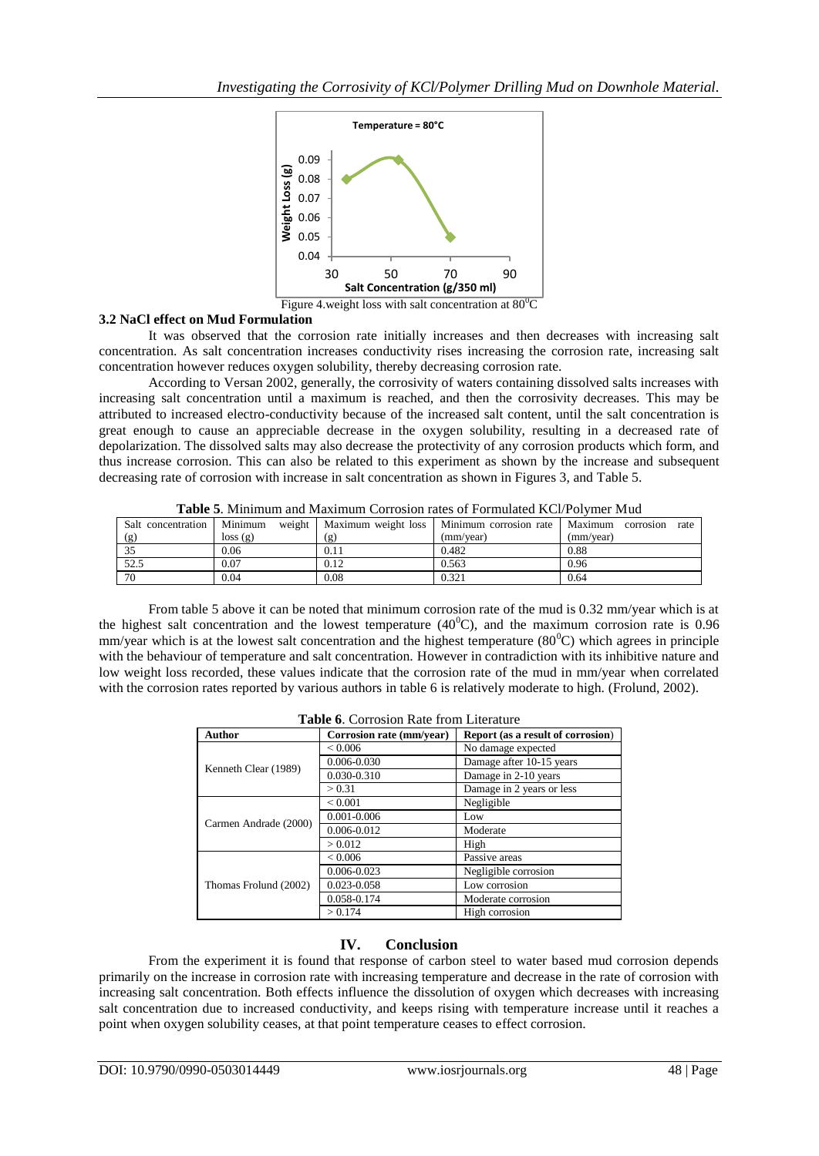

#### **3.2 NaCl effect on Mud Formulation**

It was observed that the corrosion rate initially increases and then decreases with increasing salt concentration. As salt concentration increases conductivity rises increasing the corrosion rate, increasing salt concentration however reduces oxygen solubility, thereby decreasing corrosion rate.

According to Versan 2002, generally, the corrosivity of waters containing dissolved salts increases with increasing salt concentration until a maximum is reached, and then the corrosivity decreases. This may be attributed to increased electro-conductivity because of the increased salt content, until the salt concentration is great enough to cause an appreciable decrease in the oxygen solubility, resulting in a decreased rate of depolarization. The dissolved salts may also decrease the protectivity of any corrosion products which form, and thus increase corrosion. This can also be related to this experiment as shown by the increase and subsequent decreasing rate of corrosion with increase in salt concentration as shown in Figures 3, and Table 5.

|                    | Tuble of minimum and maximum contourn rates of Formulated HCTI of Miler made |       |                                                        |                   |  |  |  |
|--------------------|------------------------------------------------------------------------------|-------|--------------------------------------------------------|-------------------|--|--|--|
| Salt concentration | Minimum<br>weight                                                            |       | Maximum weight loss   Minimum corrosion rate   Maximum | rate<br>corrosion |  |  |  |
| (g)                | loss(g)                                                                      | ( g ) | (mm/vear)                                              | (mm/year)         |  |  |  |
|                    | 0.06                                                                         |       | 0.482                                                  | 0.88              |  |  |  |
| 52.5               | 0.07                                                                         | 0.12  | 0.563                                                  | 0.96              |  |  |  |
| 70                 | 0.04                                                                         | 0.08  | 0.321                                                  | 0.64              |  |  |  |

**Table 5**. Minimum and Maximum Corrosion rates of Formulated KCl/Polymer Mud

From table 5 above it can be noted that minimum corrosion rate of the mud is 0.32 mm/year which is at the highest salt concentration and the lowest temperature  $(40^{\circ}C)$ , and the maximum corrosion rate is 0.96 mm/year which is at the lowest salt concentration and the highest temperature  $(80^{\circ}C)$  which agrees in principle with the behaviour of temperature and salt concentration. However in contradiction with its inhibitive nature and low weight loss recorded, these values indicate that the corrosion rate of the mud in mm/year when correlated with the corrosion rates reported by various authors in table 6 is relatively moderate to high. (Frolund, 2002).

| <b>Author</b>         | Corrosion rate (mm/year) | Report (as a result of corrosion) |  |
|-----------------------|--------------------------|-----------------------------------|--|
|                       | ${}_{0.006}$             | No damage expected                |  |
| Kenneth Clear (1989)  | $0.006 - 0.030$          | Damage after 10-15 years          |  |
|                       | 0.030-0.310              | Damage in 2-10 years              |  |
|                       | > 0.31                   | Damage in 2 years or less         |  |
|                       | ${}_{0.001}$             | Negligible                        |  |
|                       | $0.001 - 0.006$          | Low                               |  |
| Carmen Andrade (2000) | 0.006-0.012              | Moderate                          |  |
|                       | > 0.012                  | High                              |  |
|                       | < 0.006                  | Passive areas                     |  |
|                       | 0.006-0.023              | Negligible corrosion              |  |
| Thomas Frolund (2002) | 0.023-0.058              | Low corrosion                     |  |
|                       | 0.058-0.174              | Moderate corrosion                |  |
|                       | > 0.174                  | High corrosion                    |  |

**Table 6**. Corrosion Rate from Literature

# **IV. Conclusion**

From the experiment it is found that response of carbon steel to water based mud corrosion depends primarily on the increase in corrosion rate with increasing temperature and decrease in the rate of corrosion with increasing salt concentration. Both effects influence the dissolution of oxygen which decreases with increasing salt concentration due to increased conductivity, and keeps rising with temperature increase until it reaches a point when oxygen solubility ceases, at that point temperature ceases to effect corrosion.